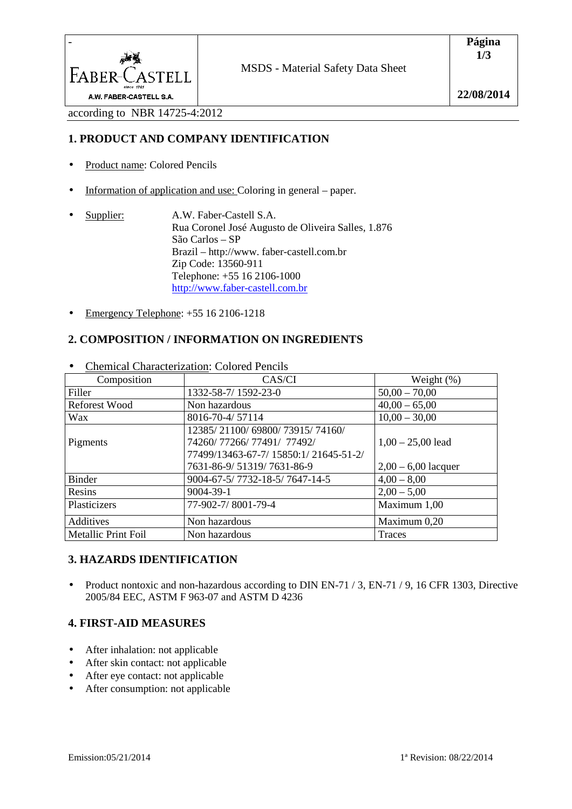

according to NBR 14725-4:2012

## **1. PRODUCT AND COMPANY IDENTIFICATION**

- Product name: Colored Pencils
- Information of application and use: Coloring in general paper.
- Supplier: A.W. Faber-Castell S.A. Rua Coronel José Augusto de Oliveira Salles, 1.876 São Carlos – SP Brazil – http://www. faber-castell.com.br Zip Code: 13560-911 Telephone: +55 16 2106-1000 http://www.faber-castell.com.br
- Emergency Telephone:  $+55$  16 2106-1218

# **2. COMPOSITION / INFORMATION ON INGREDIENTS**

| Composition                | CAS/CI                                                                                               | Weight $(\%)$         |
|----------------------------|------------------------------------------------------------------------------------------------------|-----------------------|
| Filler                     | 1332-58-7/1592-23-0                                                                                  | $50,00 - 70,00$       |
| <b>Reforest Wood</b>       | Non hazardous                                                                                        | $40,00 - 65,00$       |
| Wax                        | 8016-70-4/57114                                                                                      | $10,00 - 30,00$       |
| Pigments                   | 12385/21100/69800/73915/74160/<br>74260/77266/77491/77492/<br>77499/13463-67-7/ 15850:1/ 21645-51-2/ | $1,00 - 25,00$ lead   |
|                            | 7631-86-9/51319/7631-86-9                                                                            | $2,00 - 6,00$ lacquer |
| <b>Binder</b>              | 9004-67-5/7732-18-5/7647-14-5                                                                        | $4,00 - 8,00$         |
| Resins                     | 9004-39-1                                                                                            | $2,00 - 5,00$         |
| Plasticizers               | 77-902-7/8001-79-4                                                                                   | Maximum 1,00          |
| Additives                  | Non hazardous                                                                                        | Maximum 0,20          |
| <b>Metallic Print Foil</b> | Non hazardous                                                                                        | Traces                |

• Chemical Characterization: Colored Pencils

## **3. HAZARDS IDENTIFICATION**

• Product nontoxic and non-hazardous according to DIN EN-71 / 3, EN-71 / 9, 16 CFR 1303, Directive 2005/84 EEC, ASTM F 963-07 and ASTM D 4236

## **4. FIRST-AID MEASURES**

- After inhalation: not applicable
- After skin contact: not applicable
- After eye contact: not applicable
- After consumption: not applicable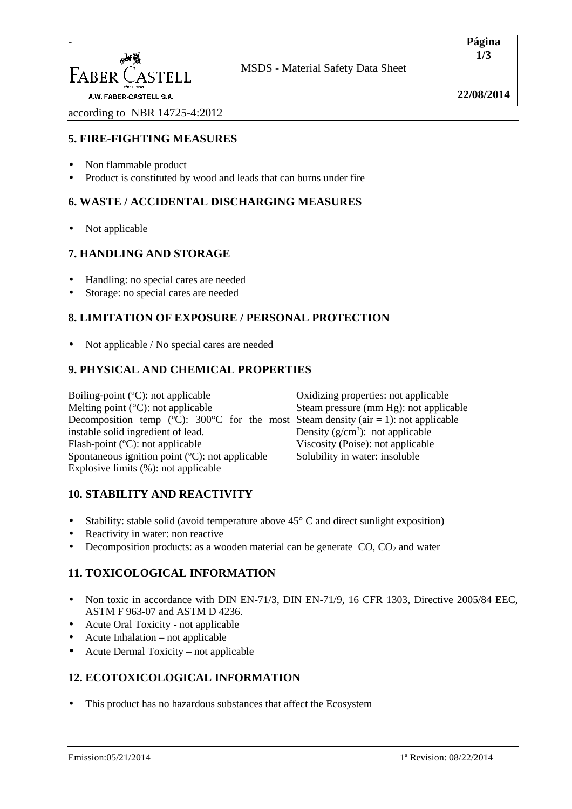

according to NBR 14725-4:2012

# **5. FIRE-FIGHTING MEASURES**

- Non flammable product
- Product is constituted by wood and leads that can burns under fire

# **6. WASTE / ACCIDENTAL DISCHARGING MEASURES**

• Not applicable

## **7. HANDLING AND STORAGE**

- Handling: no special cares are needed
- Storage: no special cares are needed

# **8. LIMITATION OF EXPOSURE / PERSONAL PROTECTION**

• Not applicable / No special cares are needed

## **9. PHYSICAL AND CHEMICAL PROPERTIES**

Boiling-point (ºC): not applicable Melting point  $(^{\circ}C)$ : not applicable Decomposition temp (°C): 300°C for the most Steam density (air = 1): not applicable instable solid ingredient of lead. Flash-point (ºC): not applicable Spontaneous ignition point (ºC): not applicable Explosive limits (%): not applicable

Oxidizing properties: not applicable Steam pressure (mm Hg): not applicable Density  $(g/cm<sup>3</sup>)$ : not applicable Viscosity (Poise): not applicable Solubility in water: insoluble

## **10. STABILITY AND REACTIVITY**

- Stability: stable solid (avoid temperature above  $45^{\circ}$  C and direct sunlight exposition)
- Reactivity in water: non reactive
- Decomposition products: as a wooden material can be generate  $CO$ ,  $CO<sub>2</sub>$  and water

# **11. TOXICOLOGICAL INFORMATION**

- Non toxic in accordance with DIN EN-71/3, DIN EN-71/9, 16 CFR 1303, Directive 2005/84 EEC, ASTM F 963-07 and ASTM D 4236.
- Acute Oral Toxicity not applicable
- Acute Inhalation not applicable
- Acute Dermal Toxicity not applicable

# **12. ECOTOXICOLOGICAL INFORMATION**

This product has no hazardous substances that affect the Ecosystem